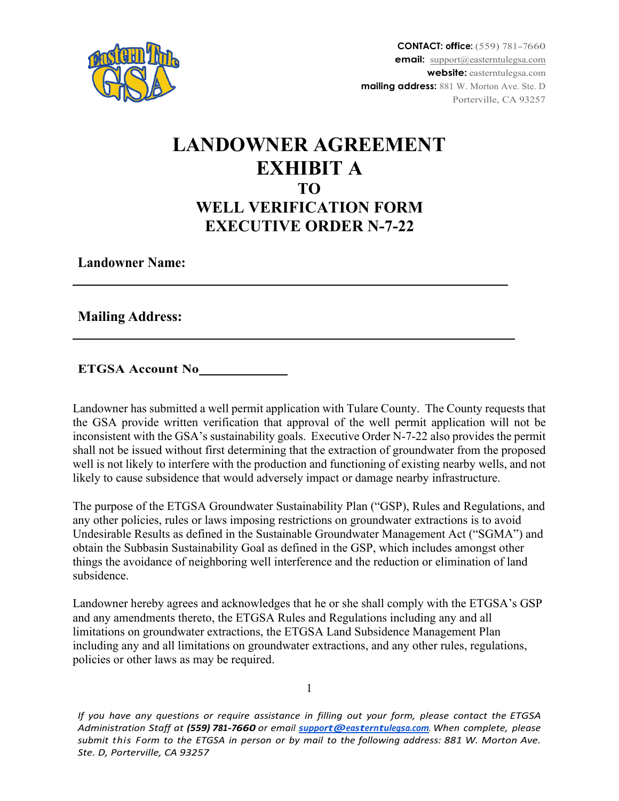

## **LANDOWNER AGREEMENT EXHIBIT A TO WELL VERIFICATION FORM EXECUTIVE ORDER N-7-22**

**Landowner Name:**

**Mailing Address:**

**ETGSA Account No**

Landowner has submitted a well permit application with Tulare County. The County requests that the GSA provide written verification that approval of the well permit application will not be inconsistent with the GSA's sustainability goals. Executive Order N-7-22 also provides the permit shall not be issued without first determining that the extraction of groundwater from the proposed well is not likely to interfere with the production and functioning of existing nearby wells, and not likely to cause subsidence that would adversely impact or damage nearby infrastructure.

The purpose of the ETGSA Groundwater Sustainability Plan ("GSP), Rules and Regulations, and any other policies, rules or laws imposing restrictions on groundwater extractions is to avoid Undesirable Results as defined in the Sustainable Groundwater Management Act ("SGMA") and obtain the Subbasin Sustainability Goal as defined in the GSP, which includes amongst other things the avoidance of neighboring well interference and the reduction or elimination of land subsidence.

Landowner hereby agrees and acknowledges that he or she shall comply with the ETGSA's GSP and any amendments thereto, the ETGSA Rules and Regulations including any and all limitations on groundwater extractions, the ETGSA Land Subsidence Management Plan including any and all limitations on groundwater extractions, and any other rules, regulations, policies or other laws as may be required.

*If you have any questions or require assistance in filling out your form, please contact the ETGSA Administration Staff at (559) 781-7660 or email [support@easterntulegsa.com](mailto:support@easterntulegsa.com). When complete, please submit this Form to the ETGSA in person or by mail to the following address: 881 W. Morton Ave. Ste. D, Porterville, CA 93257*

1